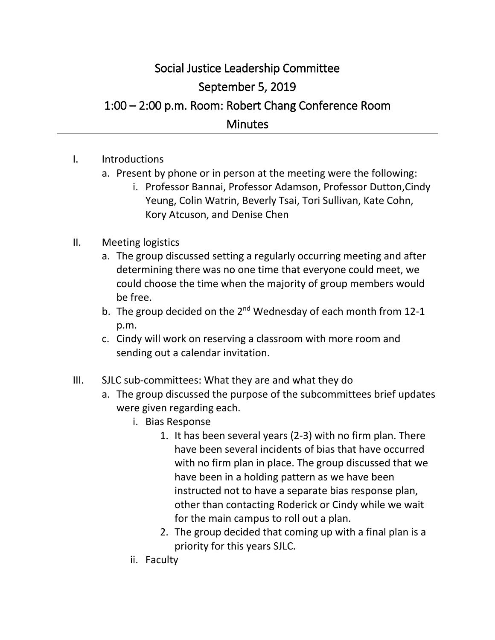## Social Justice Leadership Committee September 5, 2019 1:00 – 2:00 p.m. Room: Robert Chang Conference Room **Minutes**

- I. Introductions
	- a. Present by phone or in person at the meeting were the following:
		- i. Professor Bannai, Professor Adamson, Professor Dutton,Cindy Yeung, Colin Watrin, Beverly Tsai, Tori Sullivan, Kate Cohn, Kory Atcuson, and Denise Chen

## II. Meeting logistics

- a. The group discussed setting a regularly occurring meeting and after determining there was no one time that everyone could meet, we could choose the time when the majority of group members would be free.
- b. The group decided on the 2<sup>nd</sup> Wednesday of each month from 12-1 p.m.
- c. Cindy will work on reserving a classroom with more room and sending out a calendar invitation.
- III. SJLC sub-committees: What they are and what they do
	- a. The group discussed the purpose of the subcommittees brief updates were given regarding each.
		- i. Bias Response
			- 1. It has been several years (2-3) with no firm plan. There have been several incidents of bias that have occurred with no firm plan in place. The group discussed that we have been in a holding pattern as we have been instructed not to have a separate bias response plan, other than contacting Roderick or Cindy while we wait for the main campus to roll out a plan.
			- 2. The group decided that coming up with a final plan is a priority for this years SJLC.
		- ii. Faculty